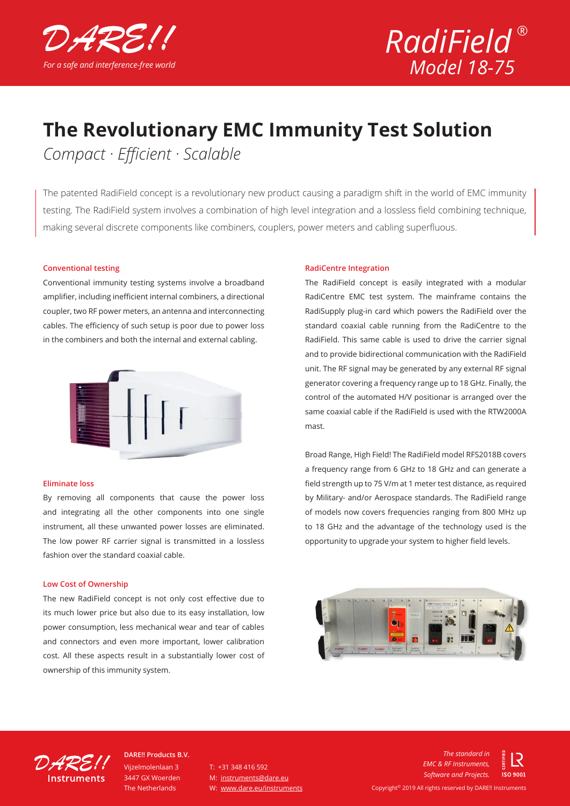



## **The Revolutionary EMC Immunity Test Solution**

*Compact · Efficient · Scalable*

The patented RadiField concept is a revolutionary new product causing a paradigm shift in the world of EMC immunity testing. The RadiField system involves a combination of high level integration and a lossless field combining technique, making several discrete components like combiners, couplers, power meters and cabling superfluous.

#### **Conventional testing**

Conventional immunity testing systems involve a broadband amplifier, including inefficient internal combiners, a directional coupler, two RF power meters, an antenna and interconnecting cables. The efficiency of such setup is poor due to power loss in the combiners and both the internal and external cabling.



#### **Eliminate loss**

By removing all components that cause the power loss and integrating all the other components into one single instrument, all these unwanted power losses are eliminated. The low power RF carrier signal is transmitted in a lossless fashion over the standard coaxial cable.

#### **Low Cost of Ownership**

The new RadiField concept is not only cost effective due to its much lower price but also due to its easy installation, low power consumption, less mechanical wear and tear of cables and connectors and even more important, lower calibration cost. All these aspects result in a substantially lower cost of ownership of this immunity system.

#### **RadiCentre Integration**

The RadiField concept is easily integrated with a modular RadiCentre EMC test system. The mainframe contains the RadiSupply plug-in card which powers the RadiField over the standard coaxial cable running from the RadiCentre to the RadiField. This same cable is used to drive the carrier signal and to provide bidirectional communication with the RadiField unit. The RF signal may be generated by any external RF signal generator covering a frequency range up to 18 GHz. Finally, the control of the automated H/V positionar is arranged over the same coaxial cable if the RadiField is used with the RTW2000A mast.

Broad Range, High Field! The RadiField model RFS2018B covers a frequency range from 6 GHz to 18 GHz and can generate a field strength up to 75 V/m at 1 meter test distance, as required by Military- and/or Aerospace standards. The RadiField range of models now covers frequencies ranging from 800 MHz up to 18 GHz and the advantage of the technology used is the opportunity to upgrade your system to higher field levels.





Vijzelmolenlaan 3 3447 GX Woerden The Netherlands **DARE!! Products B.V.**

T: +31 348 416 592 M: instruments@dare.eu W: www.dare.eu/instruments

*The standard in EMC & RF Instruments, Software and Projects.***ISO 9001** Copyright© 2019 All rights reserved by DARE!! Instruments